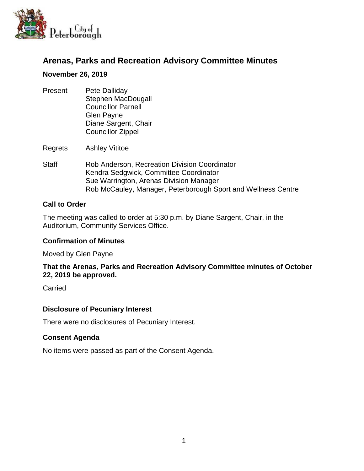

# **Arenas, Parks and Recreation Advisory Committee Minutes**

#### **November 26, 2019**

Present Pete Dalliday Stephen MacDougall Councillor Parnell Glen Payne Diane Sargent, Chair Councillor Zippel

Regrets Ashley Vititoe

Staff Rob Anderson, Recreation Division Coordinator Kendra Sedgwick, Committee Coordinator Sue Warrington, Arenas Division Manager Rob McCauley, Manager, Peterborough Sport and Wellness Centre

### **Call to Order**

The meeting was called to order at 5:30 p.m. by Diane Sargent, Chair, in the Auditorium, Community Services Office.

#### **Confirmation of Minutes**

Moved by Glen Payne

### **That the Arenas, Parks and Recreation Advisory Committee minutes of October 22, 2019 be approved.**

**Carried** 

### **Disclosure of Pecuniary Interest**

There were no disclosures of Pecuniary Interest.

#### **Consent Agenda**

No items were passed as part of the Consent Agenda.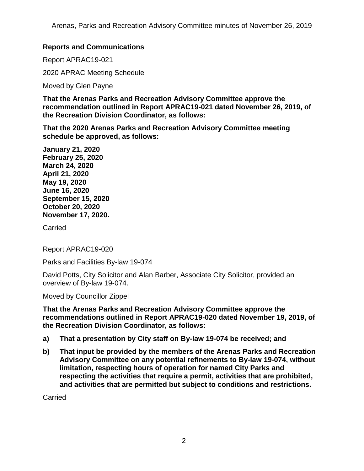## **Reports and Communications**

Report APRAC19-021

2020 APRAC Meeting Schedule

Moved by Glen Payne

**That the Arenas Parks and Recreation Advisory Committee approve the recommendation outlined in Report APRAC19-021 dated November 26, 2019, of the Recreation Division Coordinator, as follows:**

**That the 2020 Arenas Parks and Recreation Advisory Committee meeting schedule be approved, as follows:**

**January 21, 2020 February 25, 2020 March 24, 2020 April 21, 2020 May 19, 2020 June 16, 2020 September 15, 2020 October 20, 2020 November 17, 2020.** 

**Carried** 

Report APRAC19-020

Parks and Facilities By-law 19-074

David Potts, City Solicitor and Alan Barber, Associate City Solicitor, provided an overview of By-law 19-074.

Moved by Councillor Zippel

**That the Arenas Parks and Recreation Advisory Committee approve the recommendations outlined in Report APRAC19-020 dated November 19, 2019, of the Recreation Division Coordinator, as follows:**

- **a) That a presentation by City staff on By-law 19-074 be received; and**
- **b) That input be provided by the members of the Arenas Parks and Recreation Advisory Committee on any potential refinements to By-law 19-074, without limitation, respecting hours of operation for named City Parks and respecting the activities that require a permit, activities that are prohibited, and activities that are permitted but subject to conditions and restrictions.**

Carried